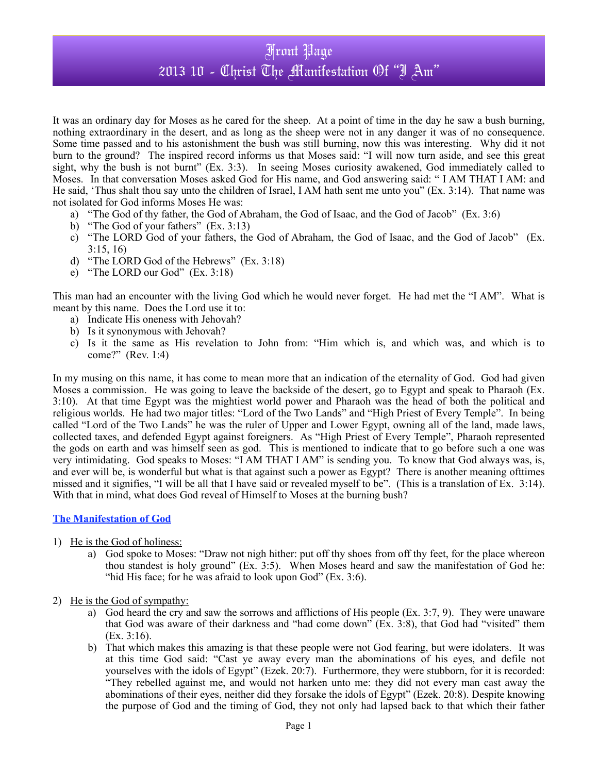It was an ordinary day for Moses as he cared for the sheep. At a point of time in the day he saw a bush burning, nothing extraordinary in the desert, and as long as the sheep were not in any danger it was of no consequence. Some time passed and to his astonishment the bush was still burning, now this was interesting. Why did it not burn to the ground? The inspired record informs us that Moses said: "I will now turn aside, and see this great sight, why the bush is not burnt" (Ex. 3:3). In seeing Moses curiosity awakened, God immediately called to Moses. In that conversation Moses asked God for His name, and God answering said: " I AM THAT I AM: and He said, 'Thus shalt thou say unto the children of Israel, I AM hath sent me unto you" (Ex. 3:14). That name was not isolated for God informs Moses He was:

- a) "The God of thy father, the God of Abraham, the God of Isaac, and the God of Jacob" (Ex. 3:6)
- b) "The God of your fathers" (Ex. 3:13)
- c) "The LORD God of your fathers, the God of Abraham, the God of Isaac, and the God of Jacob" (Ex. 3:15, 16)
- d) "The LORD God of the Hebrews" (Ex. 3:18)
- e) "The LORD our God" (Ex. 3:18)

This man had an encounter with the living God which he would never forget. He had met the "I AM". What is meant by this name. Does the Lord use it to:

- a) Indicate His oneness with Jehovah?
- b) Is it synonymous with Jehovah?
- c) Is it the same as His revelation to John from: "Him which is, and which was, and which is to come?" (Rev. 1:4)

In my musing on this name, it has come to mean more that an indication of the eternality of God. God had given Moses a commission. He was going to leave the backside of the desert, go to Egypt and speak to Pharaoh (Ex. 3:10). At that time Egypt was the mightiest world power and Pharaoh was the head of both the political and religious worlds. He had two major titles: "Lord of the Two Lands" and "High Priest of Every Temple". In being called "Lord of the Two Lands" he was the ruler of Upper and Lower Egypt, owning all of the land, made laws, collected taxes, and defended Egypt against foreigners. As "High Priest of Every Temple", Pharaoh represented the gods on earth and was himself seen as god. This is mentioned to indicate that to go before such a one was very intimidating. God speaks to Moses: "I AM THAT I AM" is sending you. To know that God always was, is, and ever will be, is wonderful but what is that against such a power as Egypt? There is another meaning ofttimes missed and it signifies, "I will be all that I have said or revealed myself to be".(This is a translation of Ex. 3:14). With that in mind, what does God reveal of Himself to Moses at the burning bush?

#### **The Manifestation of God**

- 1) He is the God of holiness:
	- a) God spoke to Moses: "Draw not nigh hither: put off thy shoes from off thy feet, for the place whereon thou standest is holy ground" (Ex. 3:5). When Moses heard and saw the manifestation of God he: "hid His face; for he was afraid to look upon God" (Ex. 3:6).
- 2) He is the God of sympathy:
	- a) God heard the cry and saw the sorrows and afflictions of His people (Ex. 3:7, 9). They were unaware that God was aware of their darkness and "had come down" (Ex. 3:8), that God had "visited" them (Ex. 3:16).
	- b) That which makes this amazing is that these people were not God fearing, but were idolaters. It was at this time God said: "Cast ye away every man the abominations of his eyes, and defile not yourselves with the idols of Egypt" (Ezek. 20:7). Furthermore, they were stubborn, for it is recorded: "They rebelled against me, and would not harken unto me: they did not every man cast away the abominations of their eyes, neither did they forsake the idols of Egypt" (Ezek. 20:8). Despite knowing the purpose of God and the timing of God, they not only had lapsed back to that which their father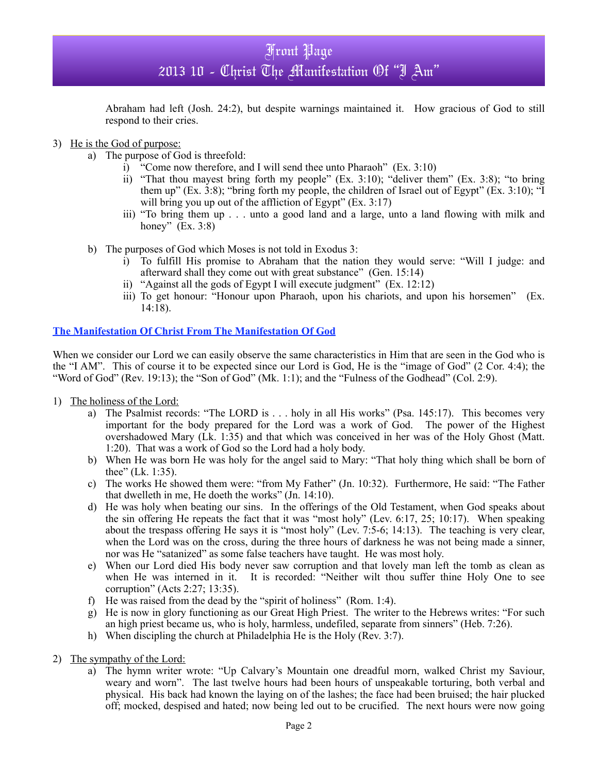Abraham had left (Josh. 24:2), but despite warnings maintained it. How gracious of God to still respond to their cries.

### 3) He is the God of purpose:

- a) The purpose of God is threefold:
	- i)  $\hat{i}$  Come now therefore, and I will send thee unto Pharaoh" (Ex. 3:10)
	- ii) "That thou mayest bring forth my people" (Ex. 3:10); "deliver them" (Ex. 3:8); "to bring them up" (Ex. 3:8); "bring forth my people, the children of Israel out of Egypt" (Ex. 3:10); "I will bring you up out of the affliction of Egypt"  $(Ex. 3:17)$
	- iii) "To bring them up . . . unto a good land and a large, unto a land flowing with milk and honey"  $(Ex. 3:8)$
- b) The purposes of God which Moses is not told in Exodus 3:
	- i) To fulfill His promise to Abraham that the nation they would serve: "Will I judge: and afterward shall they come out with great substance" (Gen. 15:14)
	- ii) "Against all the gods of Egypt I will execute judgment" (Ex. 12:12)
	- iii) To get honour: "Honour upon Pharaoh, upon his chariots, and upon his horsemen" (Ex. 14:18).

### **The Manifestation Of Christ From The Manifestation Of God**

When we consider our Lord we can easily observe the same characteristics in Him that are seen in the God who is the "I AM". This of course it to be expected since our Lord is God, He is the "image of God" (2 Cor. 4:4); the "Word of God" (Rev. 19:13); the "Son of God" (Mk. 1:1); and the "Fulness of the Godhead" (Col. 2:9).

- 1) The holiness of the Lord:
	- a) The Psalmist records: "The LORD is . . . holy in all His works" (Psa. 145:17). This becomes very important for the body prepared for the Lord was a work of God. The power of the Highest overshadowed Mary (Lk. 1:35) and that which was conceived in her was of the Holy Ghost (Matt. 1:20). That was a work of God so the Lord had a holy body.
	- b) When He was born He was holy for the angel said to Mary: "That holy thing which shall be born of thee" (Lk. 1:35).
	- c) The works He showed them were: "from My Father" (Jn. 10:32). Furthermore, He said: "The Father that dwelleth in me, He doeth the works" (Jn. 14:10).
	- d) He was holy when beating our sins. In the offerings of the Old Testament, when God speaks about the sin offering He repeats the fact that it was "most holy" (Lev. 6:17, 25; 10:17). When speaking about the trespass offering He says it is "most holy" (Lev. 7:5-6; 14:13). The teaching is very clear, when the Lord was on the cross, during the three hours of darkness he was not being made a sinner, nor was He "satanized" as some false teachers have taught. He was most holy.
	- e) When our Lord died His body never saw corruption and that lovely man left the tomb as clean as when He was interned in it. It is recorded: "Neither wilt thou suffer thine Holy One to see corruption" (Acts 2:27; 13:35).
	- f) He was raised from the dead by the "spirit of holiness" (Rom. 1:4).
	- g) He is now in glory functioning as our Great High Priest. The writer to the Hebrews writes: "For such an high priest became us, who is holy, harmless, undefiled, separate from sinners" (Heb. 7:26).
	- h) When discipling the church at Philadelphia He is the Holy (Rev. 3:7).
- 2) The sympathy of the Lord:
	- a) The hymn writer wrote: "Up Calvary's Mountain one dreadful morn, walked Christ my Saviour, weary and worn". The last twelve hours had been hours of unspeakable torturing, both verbal and physical. His back had known the laying on of the lashes; the face had been bruised; the hair plucked off; mocked, despised and hated; now being led out to be crucified. The next hours were now going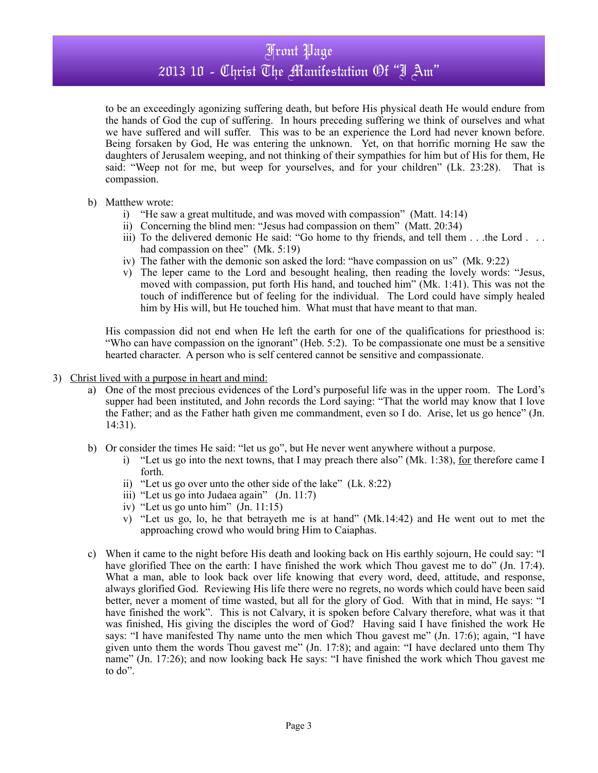to be an exceedingly agonizing suffering death, but before His physical death He would endure from the hands of God the cup of suffering. In hours preceding suffering we think of ourselves and what we have suffered and will suffer. This was to be an experience the Lord had never known before. Being forsaken by God, He was entering the unknown. Yet, on that horrific morning He saw the daughters of Jerusalem weeping, and not thinking of their sympathies for him but of His for them, He said: "Weep not for me, but weep for yourselves, and for your children" (Lk. 23:28). That is compassion.

- b) Matthew wrote:
	- i) "He saw a great multitude, and was moved with compassion" (Matt. 14:14)
	- ii) Concerning the blind men: "Jesus had compassion on them" (Matt. 20:34)
	- iii) To the delivered demonic He said: "Go home to thy friends, and tell them . . .the Lord . . . had compassion on thee" (Mk. 5:19)
	- iv) The father with the demonic son asked the lord: "have compassion on us" (Mk. 9:22)
	- v) The leper came to the Lord and besought healing, then reading the lovely words: "Jesus, moved with compassion, put forth His hand, and touched him" (Mk. 1:41). This was not the touch of indifference but of feeling for the individual. The Lord could have simply healed him by His will, but He touched him. What must that have meant to that man.

His compassion did not end when He left the earth for one of the qualifications for priesthood is: "Who can have compassion on the ignorant" (Heb. 5:2). To be compassionate one must be a sensitive hearted character. A person who is self centered cannot be sensitive and compassionate.

- 3) Christ lived with a purpose in heart and mind:
	- a) One of the most precious evidences of the Lord's purposeful life was in the upper room. The Lord's supper had been instituted, and John records the Lord saying: "That the world may know that I love the Father; and as the Father hath given me commandment, even so I do. Arise, let us go hence" (Jn. 14:31).
	- b) Or consider the times He said: "let us go", but He never went anywhere without a purpose.
		- i) "Let us go into the next towns, that I may preach there also" (Mk. 1:38), for therefore came I forth.
		- ii) "Let us go over unto the other side of the lake" (Lk. 8:22)
		- iii) "Let us go into Judaea again" (Jn. 11:7)
		- iv) "Let us go unto him" (Jn. 11:15)
		- v) "Let us go, lo, he that betrayeth me is at hand" (Mk.14:42) and He went out to met the approaching crowd who would bring Him to Caiaphas.
	- c) When it came to the night before His death and looking back on His earthly sojourn, He could say: "I have glorified Thee on the earth: I have finished the work which Thou gavest me to do" (Jn. 17:4). What a man, able to look back over life knowing that every word, deed, attitude, and response, always glorified God. Reviewing His life there were no regrets, no words which could have been said better, never a moment of time wasted, but all for the glory of God. With that in mind, He says: "I have finished the work". This is not Calvary, it is spoken before Calvary therefore, what was it that was finished, His giving the disciples the word of God? Having said I have finished the work He says: "I have manifested Thy name unto the men which Thou gavest me" (Jn. 17:6); again, "I have given unto them the words Thou gavest me" (Jn. 17:8); and again: "I have declared unto them Thy name" (Jn. 17:26); and now looking back He says: "I have finished the work which Thou gavest me to do".